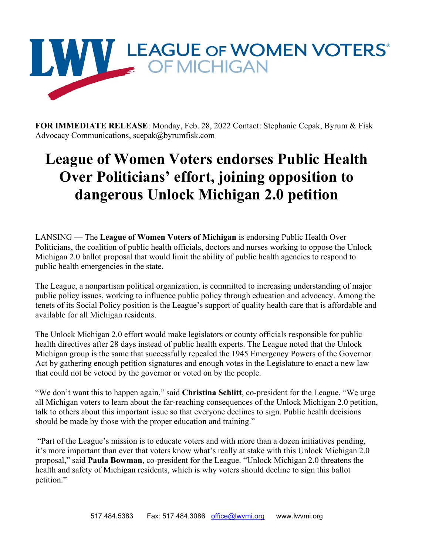

**FOR IMMEDIATE RELEASE**: Monday, Feb. 28, 2022 Contact: Stephanie Cepak, Byrum & Fisk Advocacy Communications, scepak@byrumfisk.com

## **League of Women Voters endorses Public Health Over Politicians' effort, joining opposition to dangerous Unlock Michigan 2.0 petition**

LANSING — The **League of Women Voters of Michigan** is endorsing Public Health Over Politicians, the coalition of public health officials, doctors and nurses working to oppose the Unlock Michigan 2.0 ballot proposal that would limit the ability of public health agencies to respond to public health emergencies in the state.

The League, a nonpartisan political organization, is committed to increasing understanding of major public policy issues, working to influence public policy through education and advocacy. Among the tenets of its Social Policy position is the League's support of quality health care that is affordable and available for all Michigan residents.

The Unlock Michigan 2.0 effort would make legislators or county officials responsible for public health directives after 28 days instead of public health experts. The League noted that the Unlock Michigan group is the same that successfully repealed the 1945 Emergency Powers of the Governor Act by gathering enough petition signatures and enough votes in the Legislature to enact a new law that could not be vetoed by the governor or voted on by the people.

"We don't want this to happen again," said **Christina Schlitt**, co-president for the League. "We urge all Michigan voters to learn about the far-reaching consequences of the Unlock Michigan 2.0 petition, talk to others about this important issue so that everyone declines to sign. Public health decisions should be made by those with the proper education and training."

"Part of the League's mission is to educate voters and with more than a dozen initiatives pending, it's more important than ever that voters know what's really at stake with this Unlock Michigan 2.0 proposal," said **Paula Bowman**, co-president for the League. "Unlock Michigan 2.0 threatens the health and safety of Michigan residents, which is why voters should decline to sign this ballot petition."